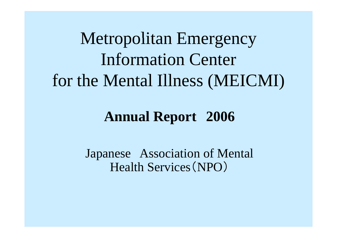Metropolitan Emergency Information Center for the Mental Illness (MEICMI)

# **Annual Report 2006**

Japanese Association of Mental Health Services (NPO )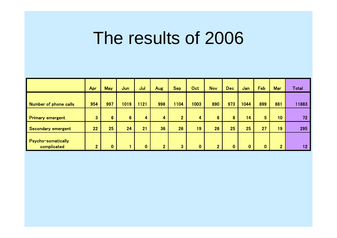# The results of 2006

|                                          | Apr            | <b>May</b>              | Jun  | Jul          | Aug            | <b>Sep</b>     | Oct          | <b>Nov</b>     | <b>Dec</b> | Jan  | Feb | Mar             | <b>Total</b> |
|------------------------------------------|----------------|-------------------------|------|--------------|----------------|----------------|--------------|----------------|------------|------|-----|-----------------|--------------|
| <b>Number of phone calls</b>             | 954            | 997                     | 1019 | 121          | 998            | 1104           | 1003         | 890            | 973        | 1044 | 899 | 881             | 11883        |
| <b>Primary emergent</b>                  | 3 <sup>°</sup> | $6\phantom{a}$          | 6    | 4            | 4              | $\overline{2}$ | 4            | $6\phantom{a}$ | 8          | 14   | 5   | 10 <sub>1</sub> | 72           |
| Secondary emergent                       | 22             | 25                      | 24   | 21           | 36             | 26             | 19           | 26             | 25         | 25   | 27  | 19 <sup>°</sup> | 295          |
| <b>Psycho-somatically</b><br>complicated | 2 <sup>1</sup> | $\overline{\mathbf{0}}$ |      | $\mathbf{0}$ | 2 <sup>1</sup> | 3              | $\mathbf{0}$ | $\overline{2}$ | $\bf{0}$   | O    |     | $\mathbf{2}$    | 12           |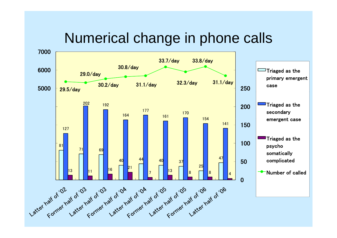### Numerical change in phone calls

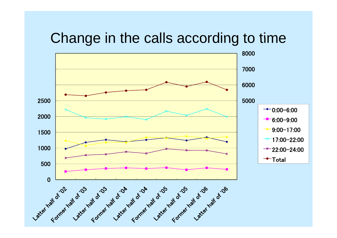### Change in the calls according to time

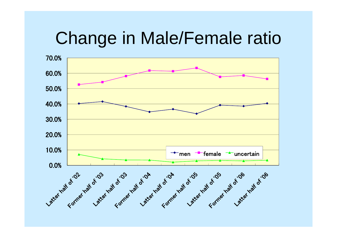# Change in Male/Female ratio

![](_page_4_Figure_1.jpeg)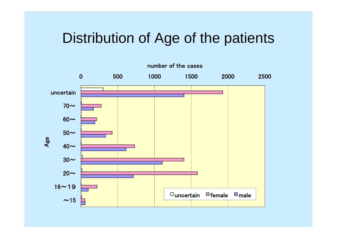### Distribution of Age of the patients

![](_page_5_Figure_1.jpeg)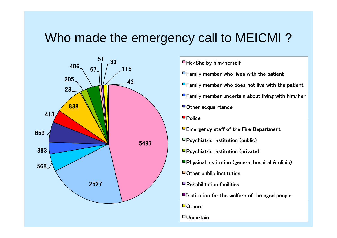### Who made the emergency call to MEICMI ?

![](_page_6_Figure_1.jpeg)

- $\Box$  Family member who lives with the patient
- $\Box$  Family member who does not live with the patient
- $\blacksquare$  Family member uncertain about living with him/her
- Other acquaintance
- **Police**
- **Emergency staff of the Fire Department**
- $\Box$  Psychiatric institution (public)
- $\n **Pychiatric institution (private)**\n$
- **Physical institution (general hospital & clinic)**
- Other public institution
- $\blacksquare$  Rehabilitation facilities
- $\blacksquare$  Institution for the welfare of the aged people
- $\blacksquare$  Others
- $\Box$  Uncertain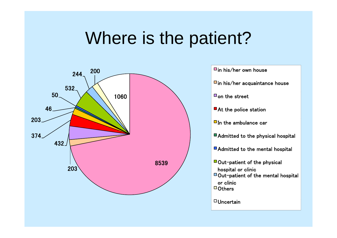# Where is the patient?

![](_page_7_Figure_1.jpeg)

![](_page_7_Figure_2.jpeg)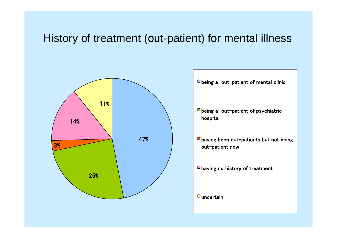### History of treatment (out-patient) for mental illness

![](_page_8_Figure_1.jpeg)

 $\Box$  being a out-patient of mental clinic

- $\blacksquare$  being a out-patient of psychiatric hospital
- having been out-patients but not being ut-patient now

having no history of treatment

 $\Box$ uncertain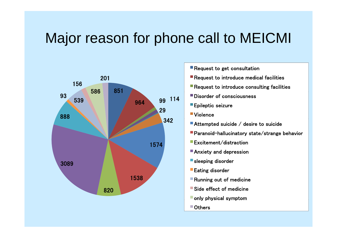# Major reason for phone call to MEICMI

![](_page_9_Figure_1.jpeg)

- **Request to get consultation**
- Request to introduce medical facilities
- **Request to introduce consulting facilities**
- Disorder of consciousness
- **Epileptic seizure**
- ■Violence
- Attempted suicide / desire to suicide
- Paranoid-hallucinatory state/strange behavior
- **Excitement/distraction**
- **Anxiety and depression**
- **Sleeping disorder**
- Eatin g disorder
- **Running out of medicine**
- Side effect of medicine
- $\blacksquare$  only physical symptom
- Others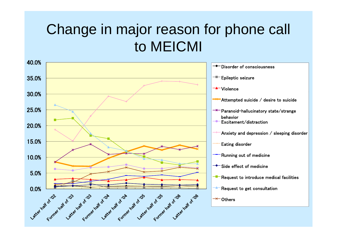# Change in major reason for phone call to MEICMI

![](_page_10_Figure_1.jpeg)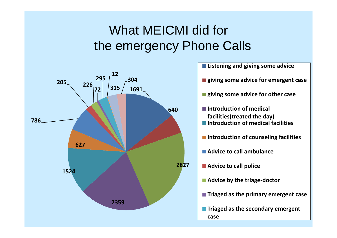### What MEICMI did for the emergency Phone Calls

![](_page_11_Figure_1.jpeg)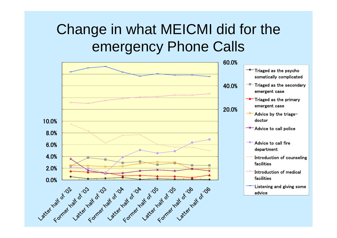# Change in what MEICMI did for the emergency Phone Calls

![](_page_12_Figure_1.jpeg)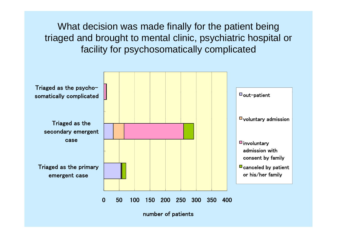What decision was made finally for the patient being triaged and brought to mental clinic, psychiatric hospital or facility for psychosomatically complicated

![](_page_13_Figure_1.jpeg)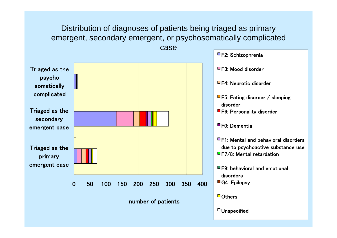### Distribution of diagnoses of patients being triaged as primary emergent, secondary emergent, or psychosomatically complicated caseF2: Schizophrenia Triaged as the psycho somatically  $\Box$  F3: Mood disorder □F4: Neurotic disorder Triaged as the secondary secondary complicated Fig. (1991) (1991) (1991) (1991) (1991) (1991) (1991) (1991) (1992) (1992) (1993) (1993) (1993) (1 disorder■F6: Personality disorder Triaged as the emergent case **For the set of the set of the set of the set of the set of the set of the set of the set of the set of the set of the set of the set of the set of the set of the set of the set of the set of the set of the s**  $\blacksquare$  F1: Mental and behavioral disorders riaged as the wat was also been also been also been also been also been also been also been also been also been primary emergent case  $\Box$ F7/8: Mental retardation F9: behavioral and emotional  $\Omega$  50 100 150 200 250 300 350 400 number of patients disorders■G4: Epilepsy  $\Box$  Others  $\Box$  Unspecified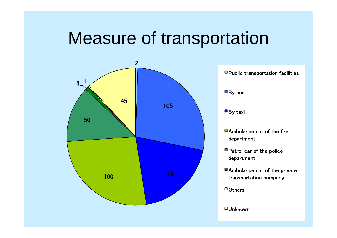# Measure of transportation

![](_page_15_Figure_1.jpeg)

 $\Box$  Public transportation facilities  $\blacksquare$  By car  $\blacksquare$  By taxi Ambulance car of the fire department ■ Patrol car of the police department

- Ambulance car of the private transportation company
- $\Box$  Others

 $\Box$  Unknown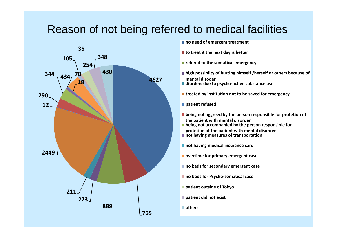### Reason of not being referred to medical facilities

![](_page_16_Figure_1.jpeg)

**no need of emergent treatment**

**to treat it the next day is better**

**refered to the somatical emer genc y g** 

- **high possiblity of hurting himself /herself or others because of mental disoder**
- **diorders due to psycho‐active substance use**

**treated by institution not to be saved for emergency**

**patient refused**

- **being not aggreed by the person responsible for protetion of th e patient wi ht mental di d sor der**
- **being not accompanied by the person responsible for protetion of the patient with mental disorder**
- **not having measures of transportation**

**not having medical insurance card**

- **overtime for primary emergent case**
- **no beds for secondary emergent case**
- **no beds for Psycho‐somatical case**
- **patient outside of Tokyo**
- **patient did not exist**
- **others**